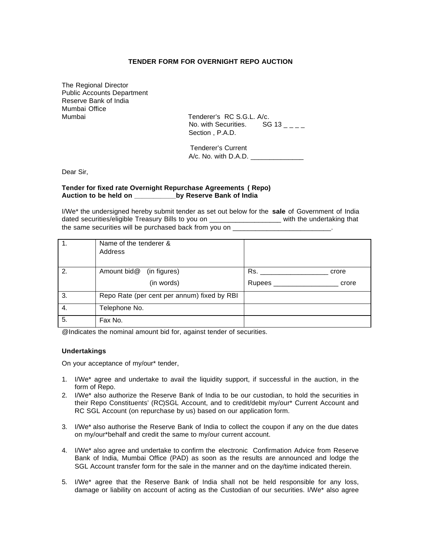## **TENDER FORM FOR OVERNIGHT REPO AUCTION**

The Regional Director Public Accounts Department Reserve Bank of India Mumbai Office Mumbai Tenderer's RC S.G.L. A/c.

No. with Securities. SG 13  $_{\text{---}}$ Section , P.A.D.

 Tenderer's Current A/c. No. with D.A.D. \_\_\_\_\_\_\_\_\_\_\_\_\_\_

Dear Sir,

### **Tender for fixed rate Overnight Repurchase Agreements ( Repo) Auction to be held on \_\_\_\_\_\_\_\_\_\_\_by Reserve Bank of India**

I/We\* the undersigned hereby submit tender as set out below for the **sale** of Government of India dated securities/eligible Treasury Bills to you on \_\_\_\_\_\_\_\_\_\_\_\_\_\_\_\_\_\_\_ with the undertaking that the same securities will be purchased back from you on

|    | Name of the tenderer &<br>Address           |                           |
|----|---------------------------------------------|---------------------------|
| 2. | Amount bid@ (in figures)                    | Rs.<br>crore              |
|    | (in words)                                  | Rupees _________<br>crore |
| 3. | Repo Rate (per cent per annum) fixed by RBI |                           |
| 4. | Telephone No.                               |                           |
| 5. | Fax No.                                     |                           |

@Indicates the nominal amount bid for, against tender of securities.

#### **Undertakings**

On your acceptance of my/our\* tender,

- 1. I/We\* agree and undertake to avail the liquidity support, if successful in the auction, in the form of Repo.
- 2. I/We\* also authorize the Reserve Bank of India to be our custodian, to hold the securities in their Repo Constituents' (RC)SGL Account, and to credit/debit my/our\* Current Account and RC SGL Account (on repurchase by us) based on our application form.
- 3. I/We\* also authorise the Reserve Bank of India to collect the coupon if any on the due dates on my/our\*behalf and credit the same to my/our current account.
- 4. I/We\* also agree and undertake to confirm the electronic Confirmation Advice from Reserve Bank of India, Mumbai Office (PAD) as soon as the results are announced and lodge the SGL Account transfer form for the sale in the manner and on the day/time indicated therein.
- 5. I/We\* agree that the Reserve Bank of India shall not be held responsible for any loss, damage or liability on account of acting as the Custodian of our securities. I/We\* also agree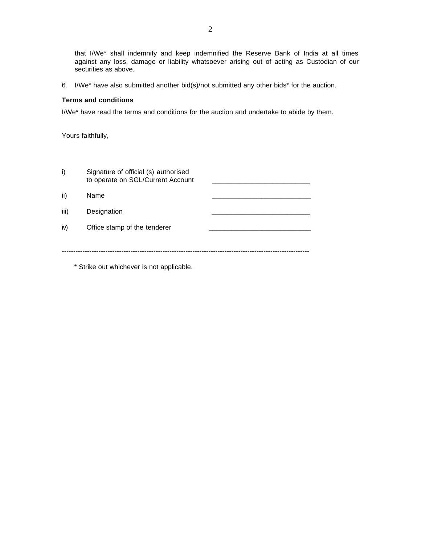that I/We\* shall indemnify and keep indemnified the Reserve Bank of India at all times against any loss, damage or liability whatsoever arising out of acting as Custodian of our securities as above.

6. I/We\* have also submitted another bid(s)/not submitted any other bids\* for the auction.

## **Terms and conditions**

I/We\* have read the terms and conditions for the auction and undertake to abide by them.

Yours faithfully,

| i)   | Signature of official (s) authorised<br>to operate on SGL/Current Account |  |
|------|---------------------------------------------------------------------------|--|
| ii)  | Name                                                                      |  |
| iii) | Designation                                                               |  |
| iv)  | Office stamp of the tenderer                                              |  |
|      |                                                                           |  |
|      |                                                                           |  |

\* Strike out whichever is not applicable.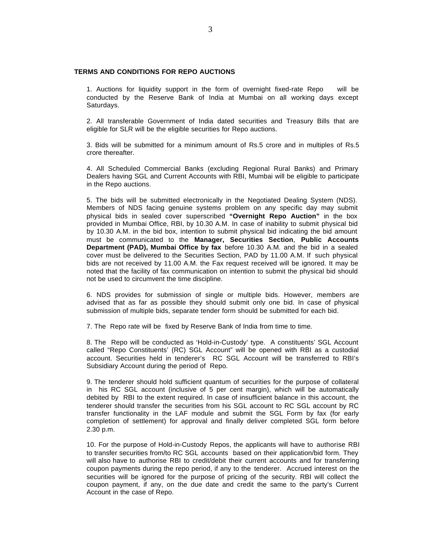# **TERMS AND CONDITIONS FOR REPO AUCTIONS**

1. Auctions for liquidity support in the form of overnight fixed-rate Repo will be conducted by the Reserve Bank of India at Mumbai on all working days except Saturdays.

2. All transferable Government of India dated securities and Treasury Bills that are eligible for SLR will be the eligible securities for Repo auctions.

3. Bids will be submitted for a minimum amount of Rs.5 crore and in multiples of Rs.5 crore thereafter.

4. All Scheduled Commercial Banks (excluding Regional Rural Banks) and Primary Dealers having SGL and Current Accounts with RBI, Mumbai will be eligible to participate in the Repo auctions.

5. The bids will be submitted electronically in the Negotiated Dealing System (NDS). Members of NDS facing genuine systems problem on any specific day may submit physical bids in sealed cover superscribed **"Overnight Repo Auction"** in the box provided in Mumbai Office, RBI, by 10.30 A.M. In case of inability to submit physical bid by 10.30 A.M. in the bid box, intention to submit physical bid indicating the bid amount must be communicated to the **Manager, Securities Section**, **Public Accounts Department (PAD), Mumbai Office by fax** before 10.30 A.M. and the bid in a sealed cover must be delivered to the Securities Section, PAD by 11.00 A.M. If such physical bids are not received by 11.00 A.M. the Fax request received will be ignored. It may be noted that the facility of fax communication on intention to submit the physical bid should not be used to circumvent the time discipline.

6. NDS provides for submission of single or multiple bids. However, members are advised that as far as possible they should submit only one bid. In case of physical submission of multiple bids, separate tender form should be submitted for each bid.

7. The Repo rate will be fixed by Reserve Bank of India from time to time.

8. The Repo will be conducted as 'Hold-in-Custody' type. A constituents' SGL Account called "Repo Constituents' (RC) SGL Account" will be opened with RBI as a custodial account. Securities held in tenderer's RC SGL Account will be transferred to RBI's Subsidiary Account during the period of Repo.

9. The tenderer should hold sufficient quantum of securities for the purpose of collateral in his RC SGL account (inclusive of 5 per cent margin), which will be automatically debited by RBI to the extent required. In case of insufficient balance in this account, the tenderer should transfer the securities from his SGL account to RC SGL account by RC transfer functionality in the LAF module and submit the SGL Form by fax (for early completion of settlement) for approval and finally deliver completed SGL form before 2.30 p.m.

10. For the purpose of Hold-in-Custody Repos, the applicants will have to authorise RBI to transfer securities from/to RC SGL accounts based on their application/bid form. They will also have to authorise RBI to credit/debit their current accounts and for transferring coupon payments during the repo period, if any to the tenderer. Accrued interest on the securities will be ignored for the purpose of pricing of the security. RBI will collect the coupon payment, if any, on the due date and credit the same to the party's Current Account in the case of Repo.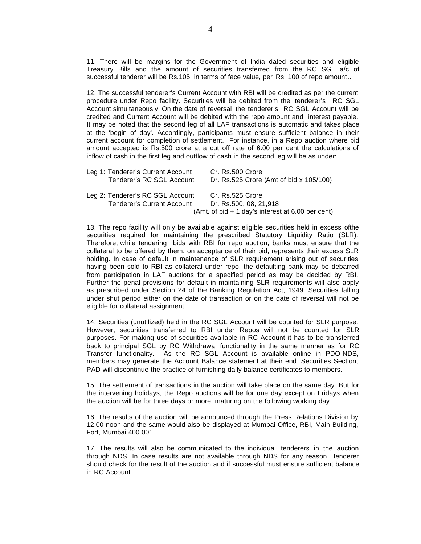11. There will be margins for the Government of India dated securities and eligible Treasury Bills and the amount of securities transferred from the RC SGL a/c of successful tenderer will be Rs.105, in terms of face value, per Rs. 100 of repo amount..

12. The successful tenderer's Current Account with RBI will be credited as per the current procedure under Repo facility. Securities will be debited from the tenderer's RC SGL Account simultaneously. On the date of reversal the tenderer's RC SGL Account will be credited and Current Account will be debited with the repo amount and interest payable. It may be noted that the second leg of all LAF transactions is automatic and takes place at the 'begin of day'. Accordingly, participants must ensure sufficient balance in their current account for completion of settlement. For instance, in a Repo auction where bid amount accepted is Rs.500 crore at a cut off rate of 6.00 per cent the calculations of inflow of cash in the first leg and outflow of cash in the second leg will be as under:

|  | Leg 1: Tenderer's Current Account | Cr. Rs.500 Crore                                  |
|--|-----------------------------------|---------------------------------------------------|
|  | Tenderer's RC SGL Account         | Dr. Rs.525 Crore (Amt. of bid x 105/100)          |
|  | Leg 2: Tenderer's RC SGL Account  | Cr. Rs.525 Crore                                  |
|  | Tenderer's Current Account        | Dr. Rs.500, 08, 21.918                            |
|  |                                   | (Amt. of bid + 1 day's interest at 6.00 per cent) |

13. The repo facility will only be available against eligible securities held in excess ofthe securities required for maintaining the prescribed Statutory Liquidity Ratio (SLR). Therefore, while tendering bids with RBI for repo auction, banks must ensure that the collateral to be offered by them, on acceptance of their bid, represents their excess SLR holding. In case of default in maintenance of SLR requirement arising out of securities having been sold to RBI as collateral under repo, the defaulting bank may be debarred from participation in LAF auctions for a specified period as may be decided by RBI. Further the penal provisions for default in maintaining SLR requirements will also apply as prescribed under Section 24 of the Banking Regulation Act, 1949. Securities falling under shut period either on the date of transaction or on the date of reversal will not be eligible for collateral assignment.

14. Securities (unutilized) held in the RC SGL Account will be counted for SLR purpose. However, securities transferred to RBI under Repos will not be counted for SLR purposes. For making use of securities available in RC Account it has to be transferred back to principal SGL by RC Withdrawal functionality in the same manner as for RC Transfer functionality. As the RC SGL Account is available online in PDO-NDS, members may generate the Account Balance statement at their end. Securities Section, PAD will discontinue the practice of furnishing daily balance certificates to members.

15. The settlement of transactions in the auction will take place on the same day. But for the intervening holidays, the Repo auctions will be for one day except on Fridays when the auction will be for three days or more, maturing on the following working day.

16. The results of the auction will be announced through the Press Relations Division by 12.00 noon and the same would also be displayed at Mumbai Office, RBI, Main Building, Fort, Mumbai 400 001.

17. The results will also be communicated to the individual tenderers in the auction through NDS. In case results are not available through NDS for any reason, tenderer should check for the result of the auction and if successful must ensure sufficient balance in RC Account.